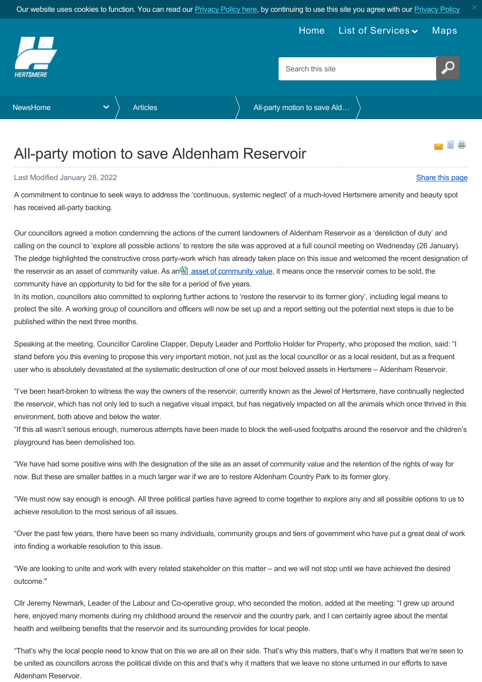<span id="page-0-0"></span>

## All-party motion to save Aldenham Reservoir

Last Modified January 28, 2022 [Share this page](http://www.addthis.com/bookmark.php?v=250&pubid=xa-502e5fd570edcb1e) of the state of the state of the state of the state of the state of the state of the state of the state of the state of the state of the state of the state of the state of the

A commitment to continue to seek ways to address the 'continuous, systemic neglect' of a much-loved Hertsmere amenity and beauty spot has received all-party backing.

Our councillors agreed a motion condemning the actions of the current landowners of Aldenham Reservoir as a 'dereliction of duty' and calling on the council to 'explore all possible actions' to restore the site was approved at a full council meeting on Wednesday (26 January). The pledge highlighted the constructive cross party-work which has already taken place on this issue and welcomed the recent designation of the reservoir as an [asset of community value](https://www.hertsmere.gov.uk/Planning--Building-Control/Planning-Policy/Other-guidance-and-information/Community-Right-To-Bid.aspx). As an asset of community value, it means once the reservoir comes to be sold, the community have an opportunity to bid for the site for a period of five years.

In its motion, councillors also committed to exploring further actions to 'restore the reservoir to its former glory', including legal means to protect the site. A working group of councillors and officers will now be set up and a report setting out the potential next steps is due to be published within the next three months.

Speaking at the meeting, Councillor Caroline Clapper, Deputy Leader and Portfolio Holder for Property, who proposed the motion, said: "I stand before you this evening to propose this very important motion, not just as the local councillor or as a local resident, but as a frequent user who is absolutely devastated at the systematic destruction of one of our most beloved assets in Hertsmere – Aldenham Reservoir.

"I've been heart-broken to witness the way the owners of the reservoir, currently known as the Jewel of Hertsmere, have continually neglected the reservoir, which has not only led to such a negative visual impact, but has negatively impacted on all the animals which once thrived in this environment, both above and below the water.

"If this all wasn't serious enough, numerous attempts have been made to block the well-used footpaths around the reservoir and the children's playground has been demolished too.

"We have had some positive wins with the designation of the site as an asset of community value and the retention of the rights of way for now. But these are smaller battles in a much larger war if we are to restore Aldenham Country Park to its former glory.

"We must now say enough is enough. All three political parties have agreed to come together to explore any and all possible options to us to achieve resolution to the most serious of all issues.

"Over the past few years, there have been so many individuals, community groups and tiers of government who have put a great deal of work into finding a workable resolution to this issue.

"We are looking to unite and work with every related stakeholder on this matter – and we will not stop until we have achieved the desired outcome."

Cllr Jeremy Newmark, Leader of the Labour and Co-operative group, who seconded the motion, added at the meeting: "I grew up around here, enjoyed many moments during my childhood around the reservoir and the country park, and I can certainly agree about the mental health and wellbeing benefits that the reservoir and its surrounding provides for local people.

"That's why the local people need to know that on this we are all on their side. That's why this matters, that's why it matters that we're seen to be united as councillors across the political divide on this and that's why it matters that we leave no stone unturned in our efforts to save Aldenham Reservoir.

昌 昌